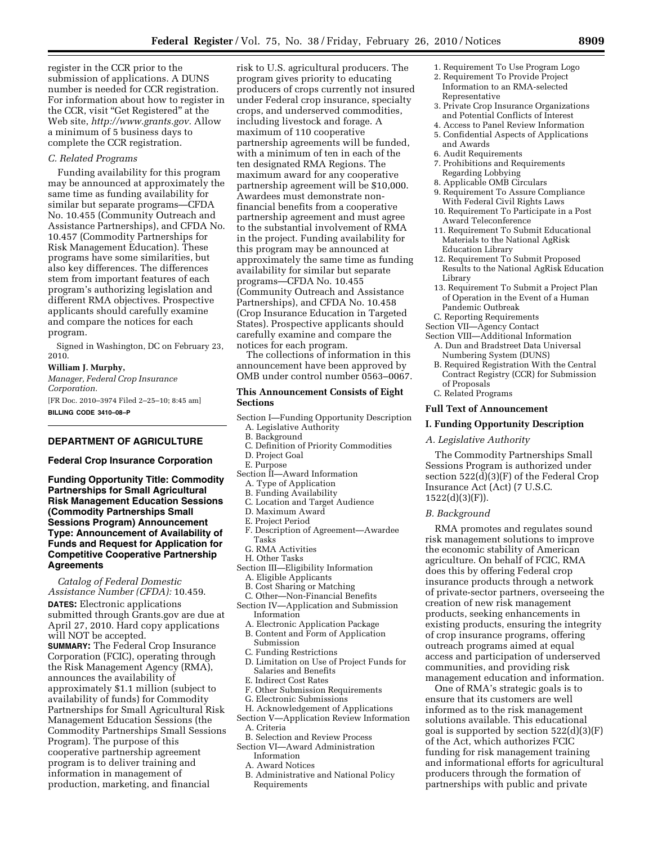register in the CCR prior to the submission of applications. A DUNS number is needed for CCR registration. For information about how to register in the CCR, visit ''Get Registered'' at the Web site, *http://www.grants.gov.* Allow a minimum of 5 business days to complete the CCR registration.

# *C. Related Programs*

Funding availability for this program may be announced at approximately the same time as funding availability for similar but separate programs—CFDA No. 10.455 (Community Outreach and Assistance Partnerships), and CFDA No. 10.457 (Commodity Partnerships for Risk Management Education). These programs have some similarities, but also key differences. The differences stem from important features of each program's authorizing legislation and different RMA objectives. Prospective applicants should carefully examine and compare the notices for each program.

Signed in Washington, DC on February 23, 2010.

#### **William J. Murphy,**

*Manager, Federal Crop Insurance Corporation.*  [FR Doc. 2010–3974 Filed 2–25–10; 8:45 am]

**BILLING CODE 3410–08–P** 

### **DEPARTMENT OF AGRICULTURE**

## **Federal Crop Insurance Corporation**

**Funding Opportunity Title: Commodity Partnerships for Small Agricultural Risk Management Education Sessions (Commodity Partnerships Small Sessions Program) Announcement Type: Announcement of Availability of Funds and Request for Application for Competitive Cooperative Partnership Agreements** 

*Catalog of Federal Domestic Assistance Number (CFDA):* 10.459. **DATES:** Electronic applications submitted through Grants.gov are due at April 27, 2010. Hard copy applications will NOT be accepted. **SUMMARY:** The Federal Crop Insurance Corporation (FCIC), operating through the Risk Management Agency (RMA), announces the availability of approximately \$1.1 million (subject to availability of funds) for Commodity Partnerships for Small Agricultural Risk Management Education Sessions (the Commodity Partnerships Small Sessions Program). The purpose of this cooperative partnership agreement program is to deliver training and information in management of production, marketing, and financial

risk to U.S. agricultural producers. The program gives priority to educating producers of crops currently not insured under Federal crop insurance, specialty crops, and underserved commodities, including livestock and forage. A maximum of 110 cooperative partnership agreements will be funded, with a minimum of ten in each of the ten designated RMA Regions. The maximum award for any cooperative partnership agreement will be \$10,000. Awardees must demonstrate nonfinancial benefits from a cooperative partnership agreement and must agree to the substantial involvement of RMA in the project. Funding availability for this program may be announced at approximately the same time as funding availability for similar but separate programs—CFDA No. 10.455 (Community Outreach and Assistance Partnerships), and CFDA No. 10.458 (Crop Insurance Education in Targeted States). Prospective applicants should carefully examine and compare the notices for each program.

The collections of information in this announcement have been approved by OMB under control number 0563–0067.

#### **This Announcement Consists of Eight Sections**

- Section I—Funding Opportunity Description
	- A. Legislative Authority
	- B. Background
- C. Definition of Priority Commodities
- D. Project Goal
- E. Purpose
- Section II—Award Information
- A. Type of Application
- B. Funding Availability
- C. Location and Target Audience
- D. Maximum Award
- E. Project Period
- F. Description of Agreement—Awardee Tasks
- G. RMA Activities
- H. Other Tasks
- Section III—Eligibility Information
	- A. Eligible Applicants
	- B. Cost Sharing or Matching
	- C. Other—Non-Financial Benefits
- Section IV—Application and Submission Information
	- A. Electronic Application Package
	- B. Content and Form of Application Submission
	- C. Funding Restrictions
	- D. Limitation on Use of Project Funds for Salaries and Benefits
	- E. Indirect Cost Rates
	- F. Other Submission Requirements
- G. Electronic Submissions
- H. Acknowledgement of Applications Section V—Application Review Information
- A. Criteria
- B. Selection and Review Process Section VI—Award Administration
- Information
- A. Award Notices
- B. Administrative and National Policy Requirements
- 1. Requirement To Use Program Logo
- 2. Requirement To Provide Project Information to an RMA-selected Representative
- 3. Private Crop Insurance Organizations and Potential Conflicts of Interest
- 4. Access to Panel Review Information
- 5. Confidential Aspects of Applications and Awards
	- 6. Audit Requirements
	- 7. Prohibitions and Requirements Regarding Lobbying
	- 8. Applicable OMB Circulars
	- 9. Requirement To Assure Compliance With Federal Civil Rights Laws
	- 10. Requirement To Participate in a Post Award Teleconference
	- 11. Requirement To Submit Educational Materials to the National AgRisk Education Library
	- 12. Requirement To Submit Proposed Results to the National AgRisk Education Library
	- 13. Requirement To Submit a Project Plan of Operation in the Event of a Human Pandemic Outbreak
- C. Reporting Requirements
- Section VII—Agency Contact
- Section VIII—Additional Information A. Dun and Bradstreet Data Universal Numbering System (DUNS)
	- B. Required Registration With the Central Contract Registry (CCR) for Submission of Proposals
	- C. Related Programs

#### **Full Text of Announcement**

#### **I. Funding Opportunity Description**

#### *A. Legislative Authority*

The Commodity Partnerships Small Sessions Program is authorized under section 522(d)(3)(F) of the Federal Crop Insurance Act (Act) (7 U.S.C.  $1522(d)(3)(F)$ ).

## *B. Background*

RMA promotes and regulates sound risk management solutions to improve the economic stability of American agriculture. On behalf of FCIC, RMA does this by offering Federal crop insurance products through a network of private-sector partners, overseeing the creation of new risk management products, seeking enhancements in existing products, ensuring the integrity of crop insurance programs, offering outreach programs aimed at equal access and participation of underserved communities, and providing risk management education and information.

One of RMA's strategic goals is to ensure that its customers are well informed as to the risk management solutions available. This educational goal is supported by section 522(d)(3)(F) of the Act, which authorizes FCIC funding for risk management training and informational efforts for agricultural producers through the formation of partnerships with public and private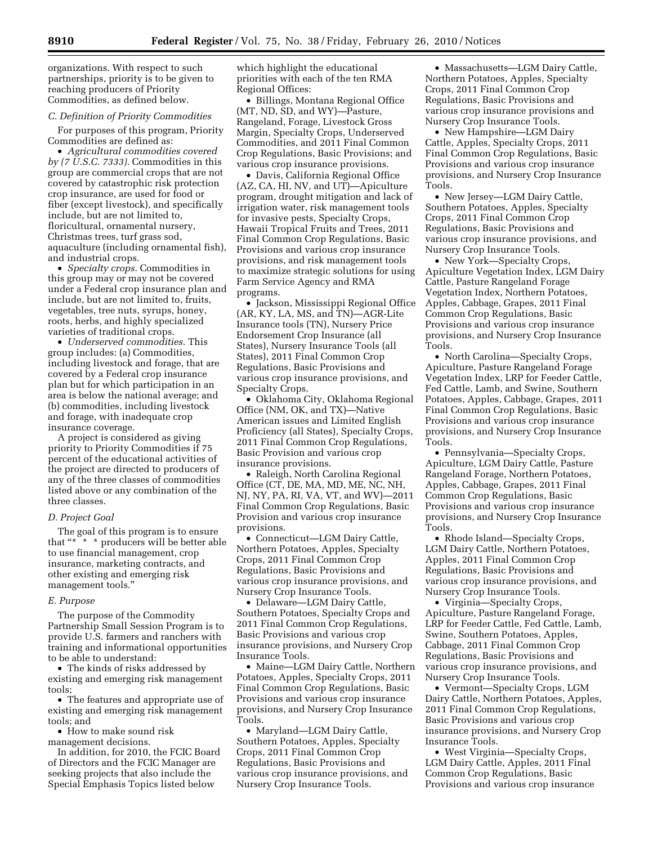organizations. With respect to such partnerships, priority is to be given to reaching producers of Priority Commodities, as defined below.

#### *C. Definition of Priority Commodities*

For purposes of this program, Priority Commodities are defined as:

• *Agricultural commodities covered by (7 U.S.C. 7333).* Commodities in this group are commercial crops that are not covered by catastrophic risk protection crop insurance, are used for food or fiber (except livestock), and specifically include, but are not limited to, floricultural, ornamental nursery, Christmas trees, turf grass sod, aquaculture (including ornamental fish), and industrial crops.

• *Specialty crops.* Commodities in this group may or may not be covered under a Federal crop insurance plan and include, but are not limited to, fruits, vegetables, tree nuts, syrups, honey, roots, herbs, and highly specialized varieties of traditional crops.

• *Underserved commodities.* This group includes: (a) Commodities, including livestock and forage, that are covered by a Federal crop insurance plan but for which participation in an area is below the national average; and (b) commodities, including livestock and forage, with inadequate crop insurance coverage.

A project is considered as giving priority to Priority Commodities if 75 percent of the educational activities of the project are directed to producers of any of the three classes of commodities listed above or any combination of the three classes.

#### *D. Project Goal*

The goal of this program is to ensure that "\* \* \* producers will be better able to use financial management, crop insurance, marketing contracts, and other existing and emerging risk management tools.''

#### *E. Purpose*

The purpose of the Commodity Partnership Small Session Program is to provide U.S. farmers and ranchers with training and informational opportunities to be able to understand:

• The kinds of risks addressed by existing and emerging risk management tools;

• The features and appropriate use of existing and emerging risk management tools; and

• How to make sound risk management decisions.

In addition, for 2010, the FCIC Board of Directors and the FCIC Manager are seeking projects that also include the Special Emphasis Topics listed below

which highlight the educational priorities with each of the ten RMA Regional Offices:

• Billings, Montana Regional Office (MT, ND, SD, and WY)—Pasture, Rangeland, Forage, Livestock Gross Margin, Specialty Crops, Underserved Commodities, and 2011 Final Common Crop Regulations, Basic Provisions; and various crop insurance provisions.

• Davis, California Regional Office (AZ, CA, HI, NV, and UT)—Apiculture program, drought mitigation and lack of irrigation water, risk management tools for invasive pests, Specialty Crops, Hawaii Tropical Fruits and Trees, 2011 Final Common Crop Regulations, Basic Provisions and various crop insurance provisions, and risk management tools to maximize strategic solutions for using Farm Service Agency and RMA programs.

• Jackson, Mississippi Regional Office (AR, KY, LA, MS, and TN)—AGR-Lite Insurance tools (TN), Nursery Price Endorsement Crop Insurance (all States), Nursery Insurance Tools (all States), 2011 Final Common Crop Regulations, Basic Provisions and various crop insurance provisions, and Specialty Crops.

• Oklahoma City, Oklahoma Regional Office (NM, OK, and TX)—Native American issues and Limited English Proficiency (all States), Specialty Crops, 2011 Final Common Crop Regulations, Basic Provision and various crop insurance provisions.

• Raleigh, North Carolina Regional Office (CT, DE, MA, MD, ME, NC, NH, NJ, NY, PA, RI, VA, VT, and WV)—2011 Final Common Crop Regulations, Basic Provision and various crop insurance provisions.

• Connecticut—LGM Dairy Cattle, Northern Potatoes, Apples, Specialty Crops, 2011 Final Common Crop Regulations, Basic Provisions and various crop insurance provisions, and Nursery Crop Insurance Tools.

• Delaware—LGM Dairy Cattle, Southern Potatoes, Specialty Crops and 2011 Final Common Crop Regulations, Basic Provisions and various crop insurance provisions, and Nursery Crop Insurance Tools.

• Maine—LGM Dairy Cattle, Northern Potatoes, Apples, Specialty Crops, 2011 Final Common Crop Regulations, Basic Provisions and various crop insurance provisions, and Nursery Crop Insurance Tools.

• Maryland—LGM Dairy Cattle, Southern Potatoes, Apples, Specialty Crops, 2011 Final Common Crop Regulations, Basic Provisions and various crop insurance provisions, and Nursery Crop Insurance Tools.

• Massachusetts—LGM Dairy Cattle, Northern Potatoes, Apples, Specialty Crops, 2011 Final Common Crop Regulations, Basic Provisions and various crop insurance provisions and Nursery Crop Insurance Tools.

• New Hampshire—LGM Dairy Cattle, Apples, Specialty Crops, 2011 Final Common Crop Regulations, Basic Provisions and various crop insurance provisions, and Nursery Crop Insurance Tools.

• New Jersey—LGM Dairy Cattle, Southern Potatoes, Apples, Specialty Crops, 2011 Final Common Crop Regulations, Basic Provisions and various crop insurance provisions, and Nursery Crop Insurance Tools.

• New York—Specialty Crops, Apiculture Vegetation Index, LGM Dairy Cattle, Pasture Rangeland Forage Vegetation Index, Northern Potatoes, Apples, Cabbage, Grapes, 2011 Final Common Crop Regulations, Basic Provisions and various crop insurance provisions, and Nursery Crop Insurance Tools.

• North Carolina—Specialty Crops, Apiculture, Pasture Rangeland Forage Vegetation Index, LRP for Feeder Cattle, Fed Cattle, Lamb, and Swine, Southern Potatoes, Apples, Cabbage, Grapes, 2011 Final Common Crop Regulations, Basic Provisions and various crop insurance provisions, and Nursery Crop Insurance Tools.

• Pennsylvania—Specialty Crops, Apiculture, LGM Dairy Cattle, Pasture Rangeland Forage, Northern Potatoes, Apples, Cabbage, Grapes, 2011 Final Common Crop Regulations, Basic Provisions and various crop insurance provisions, and Nursery Crop Insurance Tools.

• Rhode Island—Specialty Crops, LGM Dairy Cattle, Northern Potatoes, Apples, 2011 Final Common Crop Regulations, Basic Provisions and various crop insurance provisions, and Nursery Crop Insurance Tools.

• Virginia—Specialty Crops, Apiculture, Pasture Rangeland Forage, LRP for Feeder Cattle, Fed Cattle, Lamb, Swine, Southern Potatoes, Apples, Cabbage, 2011 Final Common Crop Regulations, Basic Provisions and various crop insurance provisions, and Nursery Crop Insurance Tools.

• Vermont—Specialty Crops, LGM Dairy Cattle, Northern Potatoes, Apples, 2011 Final Common Crop Regulations, Basic Provisions and various crop insurance provisions, and Nursery Crop Insurance Tools.

• West Virginia—Specialty Crops, LGM Dairy Cattle, Apples, 2011 Final Common Crop Regulations, Basic Provisions and various crop insurance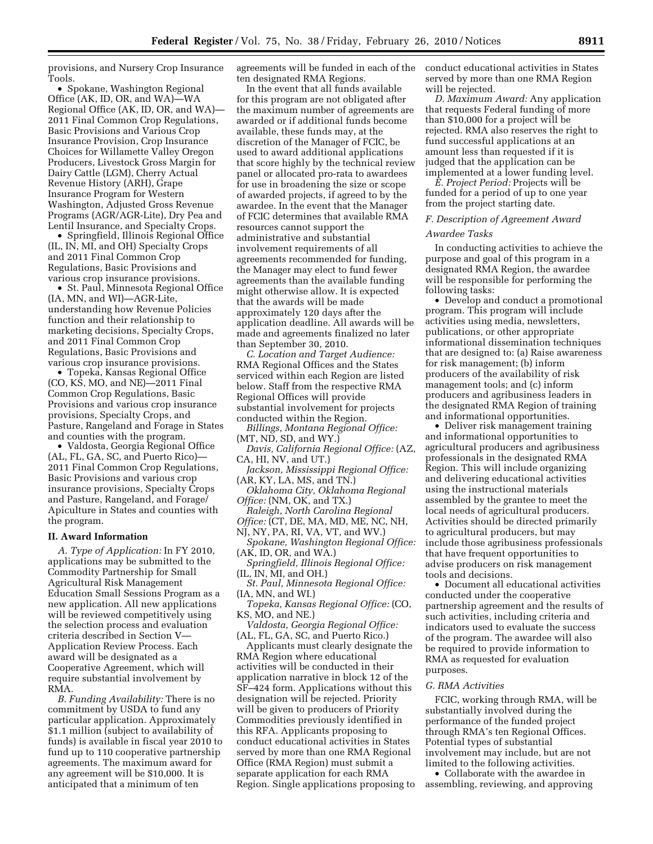provisions, and Nursery Crop Insurance Tools.

• Spokane, Washington Regional Office (AK, ID, OR, and WA)—WA Regional Office (AK, ID, OR, and WA)— 2011 Final Common Crop Regulations, Basic Provisions and Various Crop Insurance Provision, Crop Insurance Choices for Willamette Valley Oregon Producers, Livestock Gross Margin for Dairy Cattle (LGM), Cherry Actual Revenue History (ARH), Grape Insurance Program for Western Washington, Adjusted Gross Revenue Programs (AGR/AGR-Lite), Dry Pea and Lentil Insurance, and Specialty Crops.

• Springfield, Illinois Regional Office (IL, IN, MI, and OH) Specialty Crops and 2011 Final Common Crop Regulations, Basic Provisions and various crop insurance provisions.

• St. Paul, Minnesota Regional Office (IA, MN, and WI)—AGR-Lite, understanding how Revenue Policies function and their relationship to marketing decisions, Specialty Crops, and 2011 Final Common Crop Regulations, Basic Provisions and various crop insurance provisions.

• Topeka, Kansas Regional Office (CO, KS, MO, and NE)—2011 Final Common Crop Regulations, Basic Provisions and various crop insurance provisions, Specialty Crops, and Pasture, Rangeland and Forage in States and counties with the program.

• Valdosta, Georgia Regional Office (AL, FL, GA, SC, and Puerto Rico)— 2011 Final Common Crop Regulations, Basic Provisions and various crop insurance provisions, Specialty Crops and Pasture, Rangeland, and Forage/ Apiculture in States and counties with the program.

#### **II. Award Information**

*A. Type of Application:* In FY 2010, applications may be submitted to the Commodity Partnership for Small Agricultural Risk Management Education Small Sessions Program as a new application. All new applications will be reviewed competitively using the selection process and evaluation criteria described in Section V— Application Review Process. Each award will be designated as a Cooperative Agreement, which will require substantial involvement by RMA.

*B. Funding Availability:* There is no commitment by USDA to fund any particular application. Approximately \$1.1 million (subject to availability of funds) is available in fiscal year 2010 to fund up to 110 cooperative partnership agreements. The maximum award for any agreement will be \$10,000. It is anticipated that a minimum of ten

agreements will be funded in each of the ten designated RMA Regions.

In the event that all funds available for this program are not obligated after the maximum number of agreements are awarded or if additional funds become available, these funds may, at the discretion of the Manager of FCIC, be used to award additional applications that score highly by the technical review panel or allocated pro-rata to awardees for use in broadening the size or scope of awarded projects, if agreed to by the awardee. In the event that the Manager of FCIC determines that available RMA resources cannot support the administrative and substantial involvement requirements of all agreements recommended for funding, the Manager may elect to fund fewer agreements than the available funding might otherwise allow. It is expected that the awards will be made approximately 120 days after the application deadline. All awards will be made and agreements finalized no later than September 30, 2010.

*C. Location and Target Audience:*  RMA Regional Offices and the States serviced within each Region are listed below. Staff from the respective RMA Regional Offices will provide substantial involvement for projects conducted within the Region.

*Billings, Montana Regional Office:*  (MT, ND, SD, and WY.)

- *Davis, California Regional Office:* (AZ, CA, HI, NV, and UT.)
- *Jackson, Mississippi Regional Office:*  (AR, KY, LA, MS, and TN.)
- *Oklahoma City, Oklahoma Regional Office:* (NM, OK, and TX.)
- *Raleigh, North Carolina Regional Office:* (CT, DE, MA, MD, ME, NC, NH,
- NJ, NY, PA, RI, VA, VT, and WV.)
- *Spokane, Washington Regional Office:*  (AK, ID, OR, and WA.)

*Springfield, Illinois Regional Office:*  (IL, IN, MI, and OH.)

*St. Paul, Minnesota Regional Office:*  (IA, MN, and WI.)

*Topeka, Kansas Regional Office:* (CO, KS, MO, and NE.)

*Valdosta, Georgia Regional Office:*  (AL, FL, GA, SC, and Puerto Rico.)

Applicants must clearly designate the RMA Region where educational activities will be conducted in their application narrative in block 12 of the SF–424 form. Applications without this designation will be rejected. Priority will be given to producers of Priority Commodities previously identified in this RFA. Applicants proposing to conduct educational activities in States served by more than one RMA Regional Office (RMA Region) must submit a separate application for each RMA Region. Single applications proposing to conduct educational activities in States served by more than one RMA Region will be rejected.

*D. Maximum Award:* Any application that requests Federal funding of more than \$10,000 for a project will be rejected. RMA also reserves the right to fund successful applications at an amount less than requested if it is judged that the application can be implemented at a lower funding level.

*E. Project Period:* Projects will be funded for a period of up to one year from the project starting date.

#### *F. Description of Agreement Award*

### *Awardee Tasks*

In conducting activities to achieve the purpose and goal of this program in a designated RMA Region, the awardee will be responsible for performing the following tasks:

• Develop and conduct a promotional program. This program will include activities using media, newsletters, publications, or other appropriate informational dissemination techniques that are designed to: (a) Raise awareness for risk management; (b) inform producers of the availability of risk management tools; and (c) inform producers and agribusiness leaders in the designated RMA Region of training and informational opportunities.

• Deliver risk management training and informational opportunities to agricultural producers and agribusiness professionals in the designated RMA Region. This will include organizing and delivering educational activities using the instructional materials assembled by the grantee to meet the local needs of agricultural producers. Activities should be directed primarily to agricultural producers, but may include those agribusiness professionals that have frequent opportunities to advise producers on risk management tools and decisions.

• Document all educational activities conducted under the cooperative partnership agreement and the results of such activities, including criteria and indicators used to evaluate the success of the program. The awardee will also be required to provide information to RMA as requested for evaluation purposes.

## *G. RMA Activities*

FCIC, working through RMA, will be substantially involved during the performance of the funded project through RMA's ten Regional Offices. Potential types of substantial involvement may include, but are not limited to the following activities.

• Collaborate with the awardee in assembling, reviewing, and approving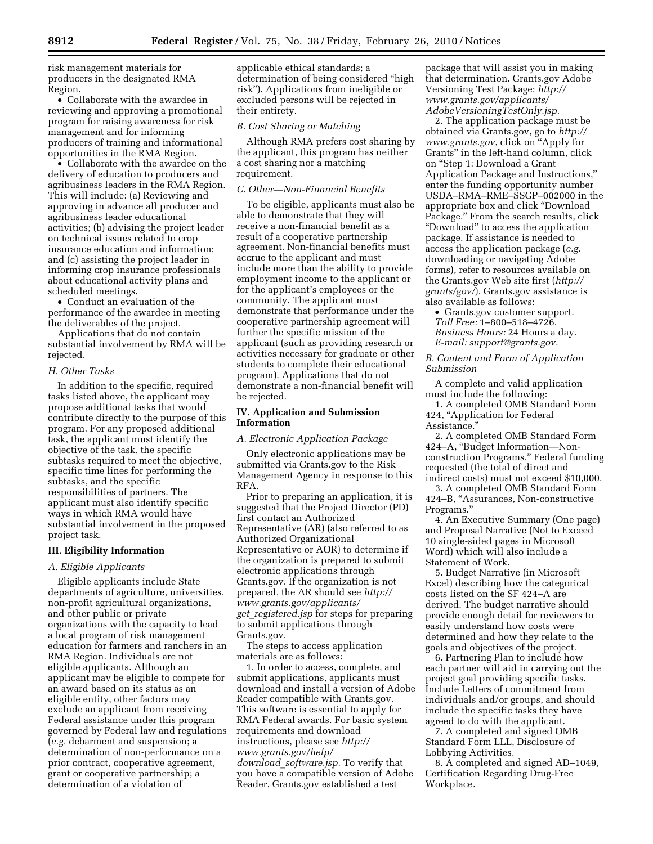risk management materials for producers in the designated RMA Region.

• Collaborate with the awardee in reviewing and approving a promotional program for raising awareness for risk management and for informing producers of training and informational opportunities in the RMA Region.

• Collaborate with the awardee on the delivery of education to producers and agribusiness leaders in the RMA Region. This will include: (a) Reviewing and approving in advance all producer and agribusiness leader educational activities; (b) advising the project leader on technical issues related to crop insurance education and information; and (c) assisting the project leader in informing crop insurance professionals about educational activity plans and scheduled meetings.

• Conduct an evaluation of the performance of the awardee in meeting the deliverables of the project.

Applications that do not contain substantial involvement by RMA will be rejected.

### *H. Other Tasks*

In addition to the specific, required tasks listed above, the applicant may propose additional tasks that would contribute directly to the purpose of this program. For any proposed additional task, the applicant must identify the objective of the task, the specific subtasks required to meet the objective, specific time lines for performing the subtasks, and the specific responsibilities of partners. The applicant must also identify specific ways in which RMA would have substantial involvement in the proposed project task.

### **III. Eligibility Information**

## *A. Eligible Applicants*

Eligible applicants include State departments of agriculture, universities, non-profit agricultural organizations, and other public or private organizations with the capacity to lead a local program of risk management education for farmers and ranchers in an RMA Region. Individuals are not eligible applicants. Although an applicant may be eligible to compete for an award based on its status as an eligible entity, other factors may exclude an applicant from receiving Federal assistance under this program governed by Federal law and regulations (*e.g.* debarment and suspension; a determination of non-performance on a prior contract, cooperative agreement, grant or cooperative partnership; a determination of a violation of

applicable ethical standards; a determination of being considered ''high risk''). Applications from ineligible or excluded persons will be rejected in their entirety.

# *B. Cost Sharing or Matching*

Although RMA prefers cost sharing by the applicant, this program has neither a cost sharing nor a matching requirement.

### *C. Other—Non-Financial Benefits*

To be eligible, applicants must also be able to demonstrate that they will receive a non-financial benefit as a result of a cooperative partnership agreement. Non-financial benefits must accrue to the applicant and must include more than the ability to provide employment income to the applicant or for the applicant's employees or the community. The applicant must demonstrate that performance under the cooperative partnership agreement will further the specific mission of the applicant (such as providing research or activities necessary for graduate or other students to complete their educational program). Applications that do not demonstrate a non-financial benefit will be rejected.

## **IV. Application and Submission Information**

#### *A. Electronic Application Package*

Only electronic applications may be submitted via Grants.gov to the Risk Management Agency in response to this RFA.

Prior to preparing an application, it is suggested that the Project Director (PD) first contact an Authorized Representative (AR) (also referred to as Authorized Organizational Representative or AOR) to determine if the organization is prepared to submit electronic applications through Grants.gov. If the organization is not prepared, the AR should see *http:// www.grants.gov/applicants/ get*\_*registered.jsp* for steps for preparing to submit applications through Grants.gov.

The steps to access application materials are as follows:

1. In order to access, complete, and submit applications, applicants must download and install a version of Adobe Reader compatible with Grants.gov. This software is essential to apply for RMA Federal awards. For basic system requirements and download instructions, please see *http:// www.grants.gov/help/ download*\_*software.jsp.* To verify that you have a compatible version of Adobe Reader, Grants.gov established a test

package that will assist you in making that determination. Grants.gov Adobe Versioning Test Package: *http:// www.grants.gov/applicants/ AdobeVersioningTestOnly.jsp.* 

2. The application package must be obtained via Grants.gov, go to *http:// www.grants.gov*, click on ''Apply for Grants'' in the left-hand column, click on ''Step 1: Download a Grant Application Package and Instructions,'' enter the funding opportunity number USDA–RMA–RME–SSGP–002000 in the appropriate box and click ''Download Package.'' From the search results, click ''Download'' to access the application package. If assistance is needed to access the application package (*e.g.*  downloading or navigating Adobe forms), refer to resources available on the Grants.gov Web site first (*http:// grants/gov/*). Grants.gov assistance is also available as follows:

• Grants.gov customer support. *Toll Free:* 1–800–518–4726. *Business Hours:* 24 Hours a day. *E-mail: support@grants.gov.* 

*B. Content and Form of Application Submission* 

A complete and valid application must include the following:

1. A completed OMB Standard Form 424, "Application for Federal Assistance.''

2. A completed OMB Standard Form 424–A, ''Budget Information—Nonconstruction Programs.'' Federal funding requested (the total of direct and indirect costs) must not exceed \$10,000.

3. A completed OMB Standard Form 424–B, ''Assurances, Non-constructive Programs.''

4. An Executive Summary (One page) and Proposal Narrative (Not to Exceed 10 single-sided pages in Microsoft Word) which will also include a Statement of Work.

5. Budget Narrative (in Microsoft Excel) describing how the categorical costs listed on the SF 424–A are derived. The budget narrative should provide enough detail for reviewers to easily understand how costs were determined and how they relate to the goals and objectives of the project.

6. Partnering Plan to include how each partner will aid in carrying out the project goal providing specific tasks. Include Letters of commitment from individuals and/or groups, and should include the specific tasks they have agreed to do with the applicant.

7. A completed and signed OMB Standard Form LLL, Disclosure of Lobbying Activities.

8. A completed and signed AD–1049, Certification Regarding Drug-Free Workplace.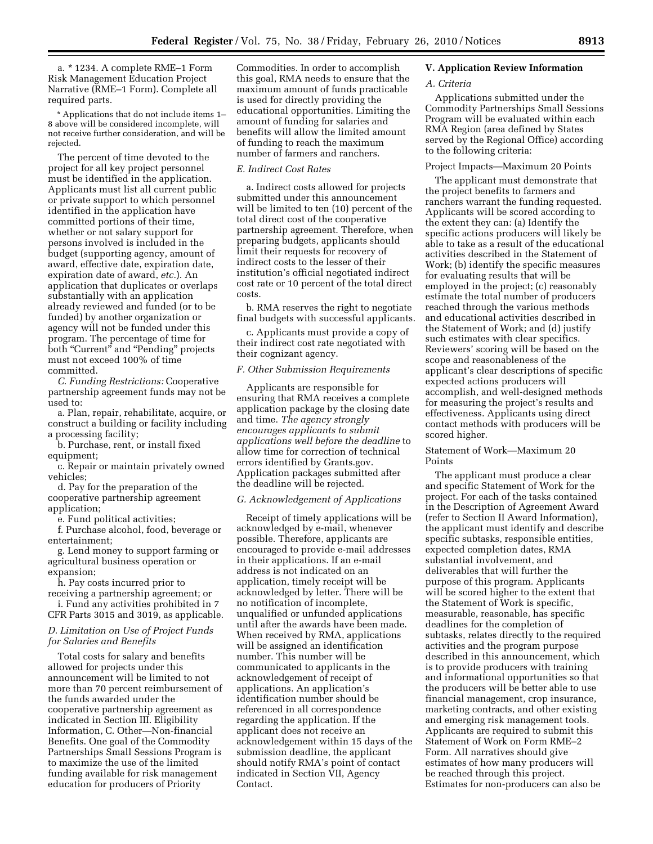a. \* 1234. A complete RME–1 Form Risk Management Education Project Narrative (RME–1 Form). Complete all required parts.

\* Applications that do not include items 1– 8 above will be considered incomplete, will not receive further consideration, and will be rejected.

The percent of time devoted to the project for all key project personnel must be identified in the application. Applicants must list all current public or private support to which personnel identified in the application have committed portions of their time, whether or not salary support for persons involved is included in the budget (supporting agency, amount of award, effective date, expiration date, expiration date of award, *etc.*). An application that duplicates or overlaps substantially with an application already reviewed and funded (or to be funded) by another organization or agency will not be funded under this program. The percentage of time for both "Current" and "Pending" projects must not exceed 100% of time committed.

*C. Funding Restrictions:* Cooperative partnership agreement funds may not be used to:

a. Plan, repair, rehabilitate, acquire, or construct a building or facility including a processing facility;

b. Purchase, rent, or install fixed equipment;

c. Repair or maintain privately owned vehicles;

d. Pay for the preparation of the cooperative partnership agreement application;

e. Fund political activities;

f. Purchase alcohol, food, beverage or entertainment;

g. Lend money to support farming or agricultural business operation or expansion;

h. Pay costs incurred prior to receiving a partnership agreement; or

i. Fund any activities prohibited in 7 CFR Parts 3015 and 3019, as applicable.

# *D. Limitation on Use of Project Funds for Salaries and Benefits*

Total costs for salary and benefits allowed for projects under this announcement will be limited to not more than 70 percent reimbursement of the funds awarded under the cooperative partnership agreement as indicated in Section III. Eligibility Information, C. Other—Non-financial Benefits. One goal of the Commodity Partnerships Small Sessions Program is to maximize the use of the limited funding available for risk management education for producers of Priority

Commodities. In order to accomplish this goal, RMA needs to ensure that the maximum amount of funds practicable is used for directly providing the educational opportunities. Limiting the amount of funding for salaries and benefits will allow the limited amount of funding to reach the maximum number of farmers and ranchers.

### *E. Indirect Cost Rates*

a. Indirect costs allowed for projects submitted under this announcement will be limited to ten (10) percent of the total direct cost of the cooperative partnership agreement. Therefore, when preparing budgets, applicants should limit their requests for recovery of indirect costs to the lesser of their institution's official negotiated indirect cost rate or 10 percent of the total direct costs.

b. RMA reserves the right to negotiate final budgets with successful applicants.

c. Applicants must provide a copy of their indirect cost rate negotiated with their cognizant agency.

#### *F. Other Submission Requirements*

Applicants are responsible for ensuring that RMA receives a complete application package by the closing date and time. *The agency strongly encourages applicants to submit applications well before the deadline* to allow time for correction of technical errors identified by Grants.gov. Application packages submitted after the deadline will be rejected.

#### *G. Acknowledgement of Applications*

Receipt of timely applications will be acknowledged by e-mail, whenever possible. Therefore, applicants are encouraged to provide e-mail addresses in their applications. If an e-mail address is not indicated on an application, timely receipt will be acknowledged by letter. There will be no notification of incomplete, unqualified or unfunded applications until after the awards have been made. When received by RMA, applications will be assigned an identification number. This number will be communicated to applicants in the acknowledgement of receipt of applications. An application's identification number should be referenced in all correspondence regarding the application. If the applicant does not receive an acknowledgement within 15 days of the submission deadline, the applicant should notify RMA's point of contact indicated in Section VII, Agency Contact.

## **V. Application Review Information**

#### *A. Criteria*

Applications submitted under the Commodity Partnerships Small Sessions Program will be evaluated within each RMA Region (area defined by States served by the Regional Office) according to the following criteria:

### Project Impacts—Maximum 20 Points

The applicant must demonstrate that the project benefits to farmers and ranchers warrant the funding requested. Applicants will be scored according to the extent they can: (a) Identify the specific actions producers will likely be able to take as a result of the educational activities described in the Statement of Work; (b) identify the specific measures for evaluating results that will be employed in the project; (c) reasonably estimate the total number of producers reached through the various methods and educational activities described in the Statement of Work; and (d) justify such estimates with clear specifics. Reviewers' scoring will be based on the scope and reasonableness of the applicant's clear descriptions of specific expected actions producers will accomplish, and well-designed methods for measuring the project's results and effectiveness. Applicants using direct contact methods with producers will be scored higher.

### Statement of Work—Maximum 20 Points

The applicant must produce a clear and specific Statement of Work for the project. For each of the tasks contained in the Description of Agreement Award (refer to Section II Award Information), the applicant must identify and describe specific subtasks, responsible entities, expected completion dates, RMA substantial involvement, and deliverables that will further the purpose of this program. Applicants will be scored higher to the extent that the Statement of Work is specific, measurable, reasonable, has specific deadlines for the completion of subtasks, relates directly to the required activities and the program purpose described in this announcement, which is to provide producers with training and informational opportunities so that the producers will be better able to use financial management, crop insurance, marketing contracts, and other existing and emerging risk management tools. Applicants are required to submit this Statement of Work on Form RME–2 Form. All narratives should give estimates of how many producers will be reached through this project. Estimates for non-producers can also be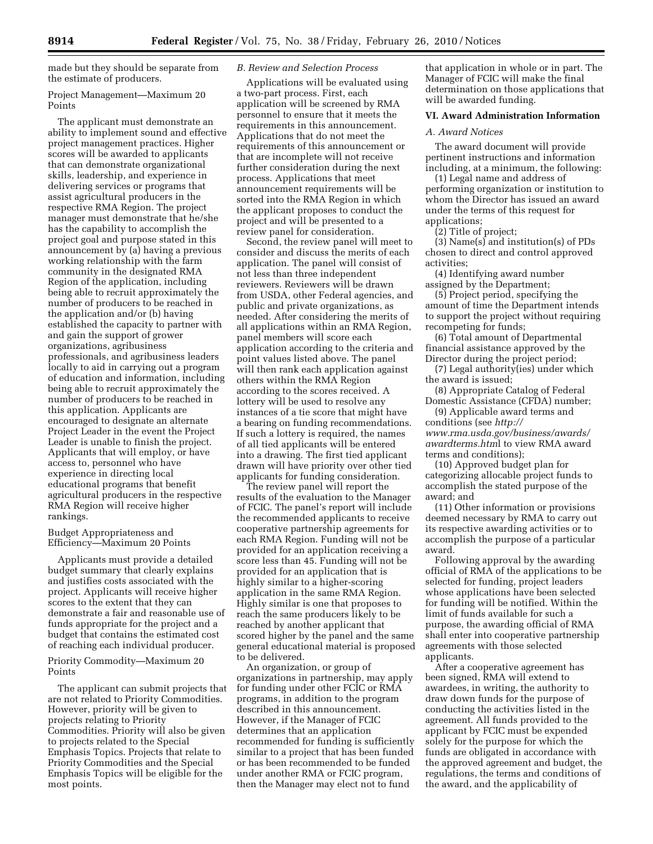made but they should be separate from the estimate of producers.

Project Management—Maximum 20 Points

The applicant must demonstrate an ability to implement sound and effective project management practices. Higher scores will be awarded to applicants that can demonstrate organizational skills, leadership, and experience in delivering services or programs that assist agricultural producers in the respective RMA Region. The project manager must demonstrate that he/she has the capability to accomplish the project goal and purpose stated in this announcement by (a) having a previous working relationship with the farm community in the designated RMA Region of the application, including being able to recruit approximately the number of producers to be reached in the application and/or (b) having established the capacity to partner with and gain the support of grower organizations, agribusiness professionals, and agribusiness leaders locally to aid in carrying out a program of education and information, including being able to recruit approximately the number of producers to be reached in this application. Applicants are encouraged to designate an alternate Project Leader in the event the Project Leader is unable to finish the project. Applicants that will employ, or have access to, personnel who have experience in directing local educational programs that benefit agricultural producers in the respective RMA Region will receive higher rankings.

# Budget Appropriateness and Efficiency—Maximum 20 Points

Applicants must provide a detailed budget summary that clearly explains and justifies costs associated with the project. Applicants will receive higher scores to the extent that they can demonstrate a fair and reasonable use of funds appropriate for the project and a budget that contains the estimated cost of reaching each individual producer.

Priority Commodity—Maximum 20 Points

The applicant can submit projects that are not related to Priority Commodities. However, priority will be given to projects relating to Priority Commodities. Priority will also be given to projects related to the Special Emphasis Topics. Projects that relate to Priority Commodities and the Special Emphasis Topics will be eligible for the most points.

# *B. Review and Selection Process*

Applications will be evaluated using a two-part process. First, each application will be screened by RMA personnel to ensure that it meets the requirements in this announcement. Applications that do not meet the requirements of this announcement or that are incomplete will not receive further consideration during the next process. Applications that meet announcement requirements will be sorted into the RMA Region in which the applicant proposes to conduct the project and will be presented to a review panel for consideration.

Second, the review panel will meet to consider and discuss the merits of each application. The panel will consist of not less than three independent reviewers. Reviewers will be drawn from USDA, other Federal agencies, and public and private organizations, as needed. After considering the merits of all applications within an RMA Region, panel members will score each application according to the criteria and point values listed above. The panel will then rank each application against others within the RMA Region according to the scores received. A lottery will be used to resolve any instances of a tie score that might have a bearing on funding recommendations. If such a lottery is required, the names of all tied applicants will be entered into a drawing. The first tied applicant drawn will have priority over other tied applicants for funding consideration.

The review panel will report the results of the evaluation to the Manager of FCIC. The panel's report will include the recommended applicants to receive cooperative partnership agreements for each RMA Region. Funding will not be provided for an application receiving a score less than 45. Funding will not be provided for an application that is highly similar to a higher-scoring application in the same RMA Region. Highly similar is one that proposes to reach the same producers likely to be reached by another applicant that scored higher by the panel and the same general educational material is proposed to be delivered.

An organization, or group of organizations in partnership, may apply for funding under other FCIC or RMA programs, in addition to the program described in this announcement. However, if the Manager of FCIC determines that an application recommended for funding is sufficiently similar to a project that has been funded or has been recommended to be funded under another RMA or FCIC program, then the Manager may elect not to fund

that application in whole or in part. The Manager of FCIC will make the final determination on those applications that will be awarded funding.

# **VI. Award Administration Information**

#### *A. Award Notices*

The award document will provide pertinent instructions and information including, at a minimum, the following:

(1) Legal name and address of performing organization or institution to whom the Director has issued an award under the terms of this request for applications;

(2) Title of project;

(3) Name(s) and institution(s) of PDs chosen to direct and control approved activities;

(4) Identifying award number assigned by the Department;

(5) Project period, specifying the amount of time the Department intends to support the project without requiring recompeting for funds;

(6) Total amount of Departmental financial assistance approved by the Director during the project period;

(7) Legal authority(ies) under which the award is issued;

(8) Appropriate Catalog of Federal Domestic Assistance (CFDA) number;

(9) Applicable award terms and conditions (see *http:// www.rma.usda.gov/business/awards/ awardterms.htm*l to view RMA award terms and conditions);

(10) Approved budget plan for categorizing allocable project funds to accomplish the stated purpose of the award; and

(11) Other information or provisions deemed necessary by RMA to carry out its respective awarding activities or to accomplish the purpose of a particular award.

Following approval by the awarding official of RMA of the applications to be selected for funding, project leaders whose applications have been selected for funding will be notified. Within the limit of funds available for such a purpose, the awarding official of RMA shall enter into cooperative partnership agreements with those selected applicants.

After a cooperative agreement has been signed, RMA will extend to awardees, in writing, the authority to draw down funds for the purpose of conducting the activities listed in the agreement. All funds provided to the applicant by FCIC must be expended solely for the purpose for which the funds are obligated in accordance with the approved agreement and budget, the regulations, the terms and conditions of the award, and the applicability of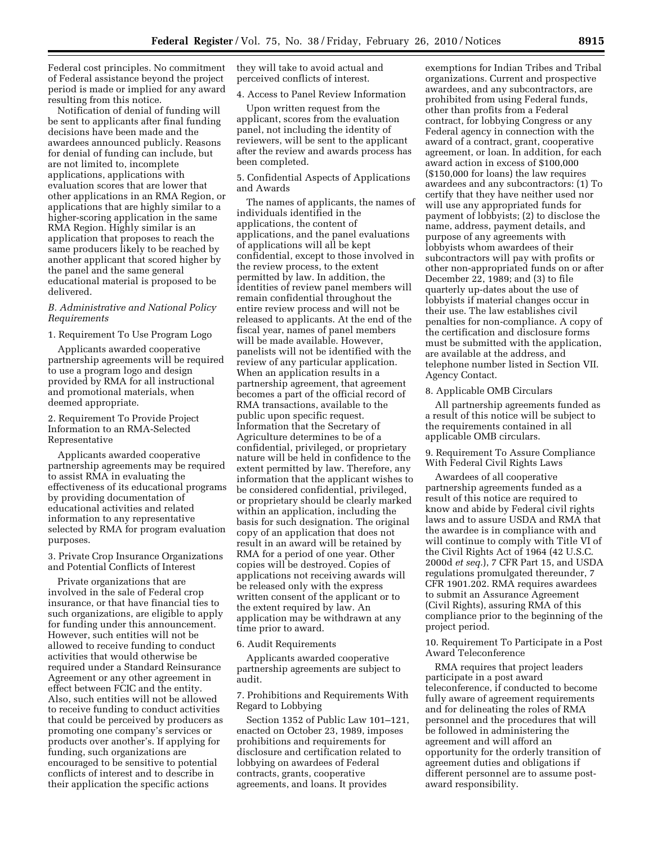Federal cost principles. No commitment of Federal assistance beyond the project period is made or implied for any award resulting from this notice.

Notification of denial of funding will be sent to applicants after final funding decisions have been made and the awardees announced publicly. Reasons for denial of funding can include, but are not limited to, incomplete applications, applications with evaluation scores that are lower that other applications in an RMA Region, or applications that are highly similar to a higher-scoring application in the same RMA Region. Highly similar is an application that proposes to reach the same producers likely to be reached by another applicant that scored higher by the panel and the same general educational material is proposed to be delivered.

# *B. Administrative and National Policy Requirements*

1. Requirement To Use Program Logo

Applicants awarded cooperative partnership agreements will be required to use a program logo and design provided by RMA for all instructional and promotional materials, when deemed appropriate.

2. Requirement To Provide Project Information to an RMA-Selected Representative

Applicants awarded cooperative partnership agreements may be required to assist RMA in evaluating the effectiveness of its educational programs by providing documentation of educational activities and related information to any representative selected by RMA for program evaluation purposes.

3. Private Crop Insurance Organizations and Potential Conflicts of Interest

Private organizations that are involved in the sale of Federal crop insurance, or that have financial ties to such organizations, are eligible to apply for funding under this announcement. However, such entities will not be allowed to receive funding to conduct activities that would otherwise be required under a Standard Reinsurance Agreement or any other agreement in effect between FCIC and the entity. Also, such entities will not be allowed to receive funding to conduct activities that could be perceived by producers as promoting one company's services or products over another's. If applying for funding, such organizations are encouraged to be sensitive to potential conflicts of interest and to describe in their application the specific actions

they will take to avoid actual and perceived conflicts of interest.

4. Access to Panel Review Information

Upon written request from the applicant, scores from the evaluation panel, not including the identity of reviewers, will be sent to the applicant after the review and awards process has been completed.

5. Confidential Aspects of Applications and Awards

The names of applicants, the names of individuals identified in the applications, the content of applications, and the panel evaluations of applications will all be kept confidential, except to those involved in the review process, to the extent permitted by law. In addition, the identities of review panel members will remain confidential throughout the entire review process and will not be released to applicants. At the end of the fiscal year, names of panel members will be made available. However, panelists will not be identified with the review of any particular application. When an application results in a partnership agreement, that agreement becomes a part of the official record of RMA transactions, available to the public upon specific request. Information that the Secretary of Agriculture determines to be of a confidential, privileged, or proprietary nature will be held in confidence to the extent permitted by law. Therefore, any information that the applicant wishes to be considered confidential, privileged, or proprietary should be clearly marked within an application, including the basis for such designation. The original copy of an application that does not result in an award will be retained by RMA for a period of one year. Other copies will be destroyed. Copies of applications not receiving awards will be released only with the express written consent of the applicant or to the extent required by law. An application may be withdrawn at any time prior to award.

#### 6. Audit Requirements

Applicants awarded cooperative partnership agreements are subject to audit.

7. Prohibitions and Requirements With Regard to Lobbying

Section 1352 of Public Law 101–121, enacted on October 23, 1989, imposes prohibitions and requirements for disclosure and certification related to lobbying on awardees of Federal contracts, grants, cooperative agreements, and loans. It provides

exemptions for Indian Tribes and Tribal organizations. Current and prospective awardees, and any subcontractors, are prohibited from using Federal funds, other than profits from a Federal contract, for lobbying Congress or any Federal agency in connection with the award of a contract, grant, cooperative agreement, or loan. In addition, for each award action in excess of \$100,000 (\$150,000 for loans) the law requires awardees and any subcontractors: (1) To certify that they have neither used nor will use any appropriated funds for payment of lobbyists; (2) to disclose the name, address, payment details, and purpose of any agreements with lobbyists whom awardees of their subcontractors will pay with profits or other non-appropriated funds on or after December 22, 1989; and (3) to file quarterly up-dates about the use of lobbyists if material changes occur in their use. The law establishes civil penalties for non-compliance. A copy of the certification and disclosure forms must be submitted with the application, are available at the address, and telephone number listed in Section VII. Agency Contact.

#### 8. Applicable OMB Circulars

All partnership agreements funded as a result of this notice will be subject to the requirements contained in all applicable OMB circulars.

9. Requirement To Assure Compliance With Federal Civil Rights Laws

Awardees of all cooperative partnership agreements funded as a result of this notice are required to know and abide by Federal civil rights laws and to assure USDA and RMA that the awardee is in compliance with and will continue to comply with Title VI of the Civil Rights Act of 1964 (42 U.S.C. 2000d *et seq.*), 7 CFR Part 15, and USDA regulations promulgated thereunder, 7 CFR 1901.202. RMA requires awardees to submit an Assurance Agreement (Civil Rights), assuring RMA of this compliance prior to the beginning of the project period.

10. Requirement To Participate in a Post Award Teleconference

RMA requires that project leaders participate in a post award teleconference, if conducted to become fully aware of agreement requirements and for delineating the roles of RMA personnel and the procedures that will be followed in administering the agreement and will afford an opportunity for the orderly transition of agreement duties and obligations if different personnel are to assume postaward responsibility.